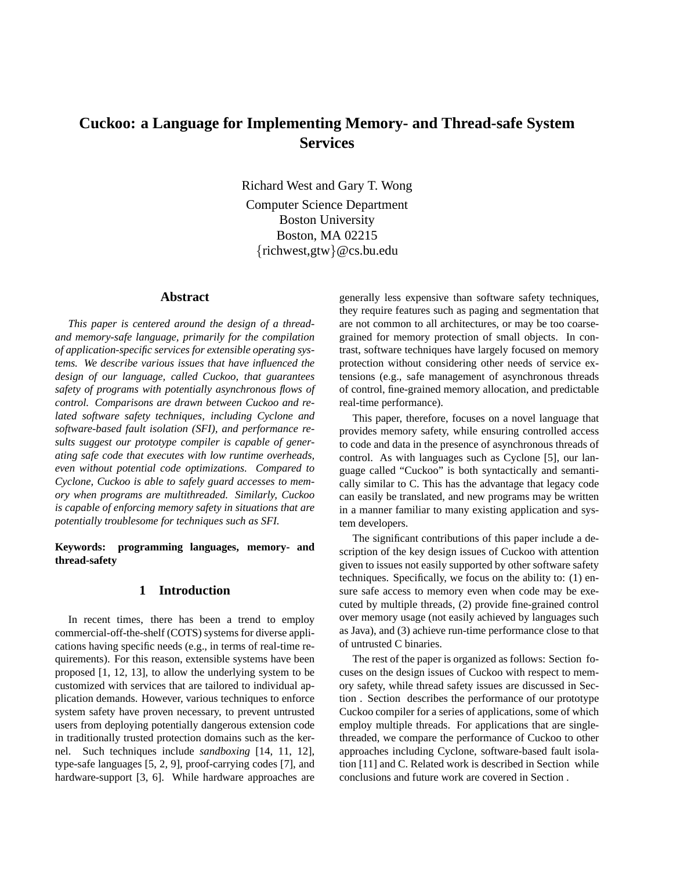# **Cuckoo: a Language for Implementing Memory- and Thread-safe System Services**

Richard West and Gary T. Wong Computer Science Department Boston University Boston, MA 02215 {richwest,gtw}@cs.bu.edu

## **Abstract**

*This paper is centered around the design of a threadand memory-safe language, primarily for the compilation of application-specific services for extensible operating systems. We describe various issues that have influenced the design of our language, called Cuckoo, that guarantees safety of programs with potentially asynchronous flows of control. Comparisons are drawn between Cuckoo and related software safety techniques, including Cyclone and software-based fault isolation (SFI), and performance results suggest our prototype compiler is capable of generating safe code that executes with low runtime overheads, even without potential code optimizations. Compared to Cyclone, Cuckoo is able to safely guard accesses to memory when programs are multithreaded. Similarly, Cuckoo is capable of enforcing memory safety in situations that are potentially troublesome for techniques such as SFI.*

#### **Keywords: programming languages, memory- and thread-safety**

#### **1 Introduction**

In recent times, there has been a trend to employ commercial-off-the-shelf (COTS) systems for diverse applications having specific needs (e.g., in terms of real-time requirements). For this reason, extensible systems have been proposed [1, 12, 13], to allow the underlying system to be customized with services that are tailored to individual application demands. However, various techniques to enforce system safety have proven necessary, to prevent untrusted users from deploying potentially dangerous extension code in traditionally trusted protection domains such as the kernel. Such techniques include *sandboxing* [14, 11, 12], type-safe languages [5, 2, 9], proof-carrying codes [7], and hardware-support [3, 6]. While hardware approaches are generally less expensive than software safety techniques, they require features such as paging and segmentation that are not common to all architectures, or may be too coarsegrained for memory protection of small objects. In contrast, software techniques have largely focused on memory protection without considering other needs of service extensions (e.g., safe management of asynchronous threads of control, fine-grained memory allocation, and predictable real-time performance).

This paper, therefore, focuses on a novel language that provides memory safety, while ensuring controlled access to code and data in the presence of asynchronous threads of control. As with languages such as Cyclone [5], our language called "Cuckoo" is both syntactically and semantically similar to C. This has the advantage that legacy code can easily be translated, and new programs may be written in a manner familiar to many existing application and system developers.

The significant contributions of this paper include a description of the key design issues of Cuckoo with attention given to issues not easily supported by other software safety techniques. Specifically, we focus on the ability to: (1) ensure safe access to memory even when code may be executed by multiple threads, (2) provide fine-grained control over memory usage (not easily achieved by languages such as Java), and (3) achieve run-time performance close to that of untrusted C binaries.

The rest of the paper is organized as follows: Section focuses on the design issues of Cuckoo with respect to memory safety, while thread safety issues are discussed in Section . Section describes the performance of our prototype Cuckoo compiler for a series of applications, some of which employ multiple threads. For applications that are singlethreaded, we compare the performance of Cuckoo to other approaches including Cyclone, software-based fault isolation [11] and C. Related work is described in Section while conclusions and future work are covered in Section .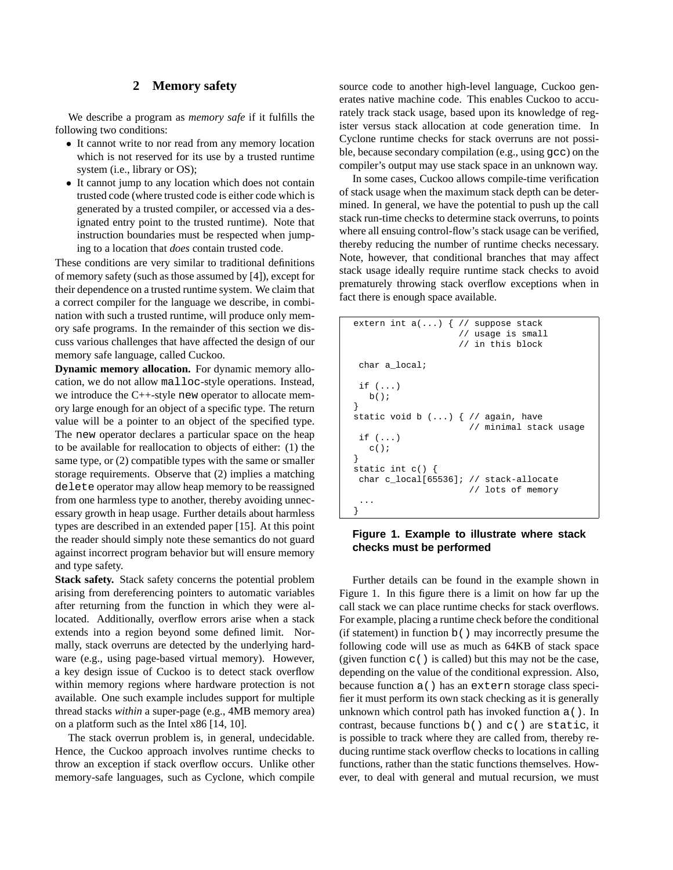## **2 Memory safety**

We describe a program as *memory safe* if it fulfills the following two conditions:

- It cannot write to nor read from any memory location which is not reserved for its use by a trusted runtime system (i.e., library or OS);
- It cannot jump to any location which does not contain trusted code (where trusted code is either code which is generated by a trusted compiler, or accessed via a designated entry point to the trusted runtime). Note that instruction boundaries must be respected when jumping to a location that *does* contain trusted code.

These conditions are very similar to traditional definitions of memory safety (such as those assumed by [4]), except for their dependence on a trusted runtime system. We claim that a correct compiler for the language we describe, in combination with such a trusted runtime, will produce only memory safe programs. In the remainder of this section we discuss various challenges that have affected the design of our memory safe language, called Cuckoo.

**Dynamic memory allocation.** For dynamic memory allocation, we do not allow malloc-style operations. Instead, we introduce the C++-style new operator to allocate memory large enough for an object of a specific type. The return value will be a pointer to an object of the specified type. The new operator declares a particular space on the heap to be available for reallocation to objects of either: (1) the same type, or (2) compatible types with the same or smaller storage requirements. Observe that (2) implies a matching delete operator may allow heap memory to be reassigned from one harmless type to another, thereby avoiding unnecessary growth in heap usage. Further details about harmless types are described in an extended paper [15]. At this point the reader should simply note these semantics do not guard against incorrect program behavior but will ensure memory and type safety.

**Stack safety.** Stack safety concerns the potential problem arising from dereferencing pointers to automatic variables after returning from the function in which they were allocated. Additionally, overflow errors arise when a stack extends into a region beyond some defined limit. Normally, stack overruns are detected by the underlying hardware (e.g., using page-based virtual memory). However, a key design issue of Cuckoo is to detect stack overflow within memory regions where hardware protection is not available. One such example includes support for multiple thread stacks *within* a super-page (e.g., 4MB memory area) on a platform such as the Intel x86 [14, 10].

The stack overrun problem is, in general, undecidable. Hence, the Cuckoo approach involves runtime checks to throw an exception if stack overflow occurs. Unlike other memory-safe languages, such as Cyclone, which compile

source code to another high-level language, Cuckoo generates native machine code. This enables Cuckoo to accurately track stack usage, based upon its knowledge of register versus stack allocation at code generation time. In Cyclone runtime checks for stack overruns are not possible, because secondary compilation (e.g., using gcc) on the compiler's output may use stack space in an unknown way.

In some cases, Cuckoo allows compile-time verification of stack usage when the maximum stack depth can be determined. In general, we have the potential to push up the call stack run-time checks to determine stack overruns, to points where all ensuing control-flow's stack usage can be verified, thereby reducing the number of runtime checks necessary. Note, however, that conditional branches that may affect stack usage ideally require runtime stack checks to avoid prematurely throwing stack overflow exceptions when in fact there is enough space available.

```
extern int a(...) { // suppose stack
                     // usage is small
                     // in this block
char a_local;
if (...)
  b();
}
static void b (...) { // again, have
                       // minimal stack usage
if (...)
  c();
}
static int c() {
char c_local[65536]; // stack-allocate
                       // lots of memory
 ...
}
```
## **Figure 1. Example to illustrate where stack checks must be performed**

Further details can be found in the example shown in Figure 1. In this figure there is a limit on how far up the call stack we can place runtime checks for stack overflows. For example, placing a runtime check before the conditional (if statement) in function b() may incorrectly presume the following code will use as much as 64KB of stack space (given function  $c()$  is called) but this may not be the case, depending on the value of the conditional expression. Also, because function a() has an extern storage class specifier it must perform its own stack checking as it is generally unknown which control path has invoked function a(). In contrast, because functions b() and c() are static, it is possible to track where they are called from, thereby reducing runtime stack overflow checks to locations in calling functions, rather than the static functions themselves. However, to deal with general and mutual recursion, we must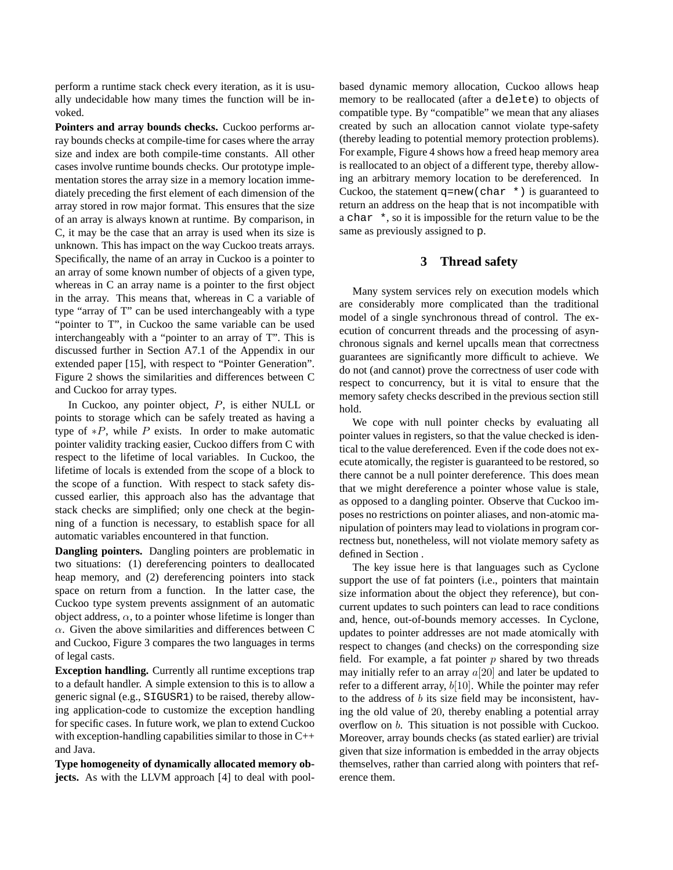perform a runtime stack check every iteration, as it is usually undecidable how many times the function will be invoked.

**Pointers and array bounds checks.** Cuckoo performs array bounds checks at compile-time for cases where the array size and index are both compile-time constants. All other cases involve runtime bounds checks. Our prototype implementation stores the array size in a memory location immediately preceding the first element of each dimension of the array stored in row major format. This ensures that the size of an array is always known at runtime. By comparison, in C, it may be the case that an array is used when its size is unknown. This has impact on the way Cuckoo treats arrays. Specifically, the name of an array in Cuckoo is a pointer to an array of some known number of objects of a given type, whereas in C an array name is a pointer to the first object in the array. This means that, whereas in C a variable of type "array of T" can be used interchangeably with a type "pointer to T", in Cuckoo the same variable can be used interchangeably with a "pointer to an array of T". This is discussed further in Section A7.1 of the Appendix in our extended paper [15], with respect to "Pointer Generation". Figure 2 shows the similarities and differences between C and Cuckoo for array types.

In Cuckoo, any pointer object,  $P$ , is either NULL or points to storage which can be safely treated as having a type of  $*P$ , while P exists. In order to make automatic pointer validity tracking easier, Cuckoo differs from C with respect to the lifetime of local variables. In Cuckoo, the lifetime of locals is extended from the scope of a block to the scope of a function. With respect to stack safety discussed earlier, this approach also has the advantage that stack checks are simplified; only one check at the beginning of a function is necessary, to establish space for all automatic variables encountered in that function.

**Dangling pointers.** Dangling pointers are problematic in two situations: (1) dereferencing pointers to deallocated heap memory, and (2) dereferencing pointers into stack space on return from a function. In the latter case, the Cuckoo type system prevents assignment of an automatic object address,  $\alpha$ , to a pointer whose lifetime is longer than  $\alpha$ . Given the above similarities and differences between C and Cuckoo, Figure 3 compares the two languages in terms of legal casts.

**Exception handling.** Currently all runtime exceptions trap to a default handler. A simple extension to this is to allow a generic signal (e.g., SIGUSR1) to be raised, thereby allowing application-code to customize the exception handling for specific cases. In future work, we plan to extend Cuckoo with exception-handling capabilities similar to those in C++ and Java.

**Type homogeneity of dynamically allocated memory objects.** As with the LLVM approach [4] to deal with poolbased dynamic memory allocation, Cuckoo allows heap memory to be reallocated (after a delete) to objects of compatible type. By "compatible" we mean that any aliases created by such an allocation cannot violate type-safety (thereby leading to potential memory protection problems). For example, Figure 4 shows how a freed heap memory area is reallocated to an object of a different type, thereby allowing an arbitrary memory location to be dereferenced. In Cuckoo, the statement  $q = new(char * )$  is guaranteed to return an address on the heap that is not incompatible with a char \*, so it is impossible for the return value to be the same as previously assigned to p.

### **3 Thread safety**

Many system services rely on execution models which are considerably more complicated than the traditional model of a single synchronous thread of control. The execution of concurrent threads and the processing of asynchronous signals and kernel upcalls mean that correctness guarantees are significantly more difficult to achieve. We do not (and cannot) prove the correctness of user code with respect to concurrency, but it is vital to ensure that the memory safety checks described in the previous section still hold.

We cope with null pointer checks by evaluating all pointer values in registers, so that the value checked is identical to the value dereferenced. Even if the code does not execute atomically, the register is guaranteed to be restored, so there cannot be a null pointer dereference. This does mean that we might dereference a pointer whose value is stale, as opposed to a dangling pointer. Observe that Cuckoo imposes no restrictions on pointer aliases, and non-atomic manipulation of pointers may lead to violations in program correctness but, nonetheless, will not violate memory safety as defined in Section .

The key issue here is that languages such as Cyclone support the use of fat pointers (i.e., pointers that maintain size information about the object they reference), but concurrent updates to such pointers can lead to race conditions and, hence, out-of-bounds memory accesses. In Cyclone, updates to pointer addresses are not made atomically with respect to changes (and checks) on the corresponding size field. For example, a fat pointer  $p$  shared by two threads may initially refer to an array  $a[20]$  and later be updated to refer to a different array,  $b[10]$ . While the pointer may refer to the address of  $b$  its size field may be inconsistent, having the old value of 20, thereby enabling a potential array overflow on b. This situation is not possible with Cuckoo. Moreover, array bounds checks (as stated earlier) are trivial given that size information is embedded in the array objects themselves, rather than carried along with pointers that reference them.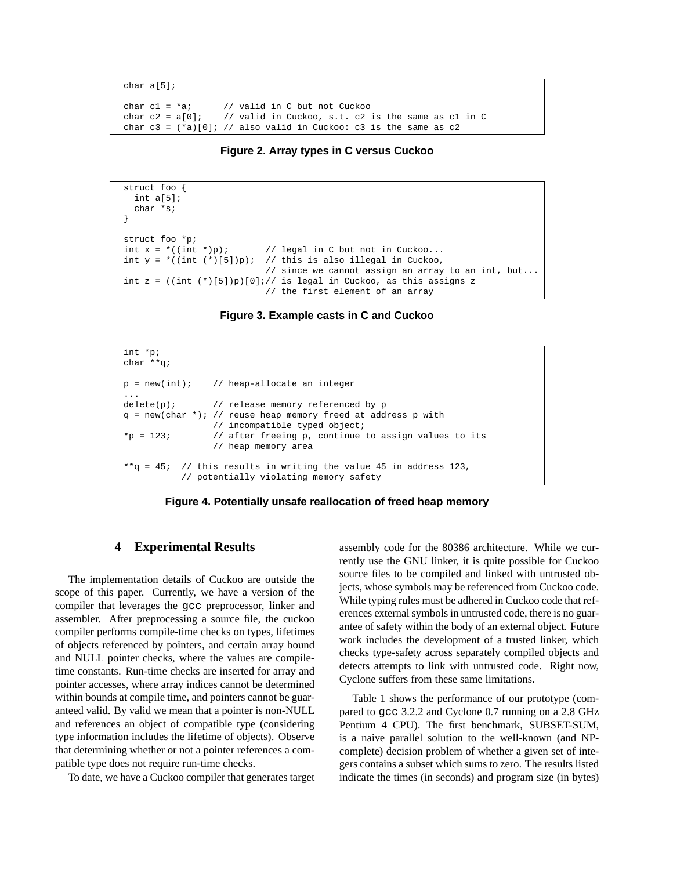```
char a[5];
char c1 = *a; // valid in C but not Cuckoo
char c2 = a[0]; // valid in Cuckoo, s.t. c2 is the same as c1 in C
char c3 = (*a)[0]; // also valid in Cuckoo: c3 is the same as c2
```


```
struct foo {
  int a[5];
  char *s;
}
struct foo *p;<br>int x = *((int * )p);int x = *((int *)p); // legal in C but not in Cuckoo...<br>int y = *((int (*)[5])p); // this is also illegal in Cuckoo,
                                 // this is also illegal in Cuckoo,
                                  // since we cannot assign an array to an int, but...
int z = ((int (*)[5])p)[0]i// is legal in Cuckoo, as this assigns z
                                  // the first element of an array
```
**Figure 3. Example casts in C and Cuckoo**

```
int *p;
char **q;
p = new(int); // heap-allocate an integer
...
delete(p); // release memory referenced by p
q = new(char *): // reuse heap memory freed at address p with
                // incompatible typed object;
*_{p} = 123; // after freeing p, continue to assign values to its
                // heap memory area
**q = 45; // this results in writing the value 45 in address 123,
          // potentially violating memory safety
```


#### **4 Experimental Results**

The implementation details of Cuckoo are outside the scope of this paper. Currently, we have a version of the compiler that leverages the gcc preprocessor, linker and assembler. After preprocessing a source file, the cuckoo compiler performs compile-time checks on types, lifetimes of objects referenced by pointers, and certain array bound and NULL pointer checks, where the values are compiletime constants. Run-time checks are inserted for array and pointer accesses, where array indices cannot be determined within bounds at compile time, and pointers cannot be guaranteed valid. By valid we mean that a pointer is non-NULL and references an object of compatible type (considering type information includes the lifetime of objects). Observe that determining whether or not a pointer references a compatible type does not require run-time checks.

To date, we have a Cuckoo compiler that generates target

assembly code for the 80386 architecture. While we currently use the GNU linker, it is quite possible for Cuckoo source files to be compiled and linked with untrusted objects, whose symbols may be referenced from Cuckoo code. While typing rules must be adhered in Cuckoo code that references external symbols in untrusted code, there is no guarantee of safety within the body of an external object. Future work includes the development of a trusted linker, which checks type-safety across separately compiled objects and detects attempts to link with untrusted code. Right now, Cyclone suffers from these same limitations.

Table 1 shows the performance of our prototype (compared to gcc 3.2.2 and Cyclone 0.7 running on a 2.8 GHz Pentium 4 CPU). The first benchmark, SUBSET-SUM, is a naive parallel solution to the well-known (and NPcomplete) decision problem of whether a given set of integers contains a subset which sums to zero. The results listed indicate the times (in seconds) and program size (in bytes)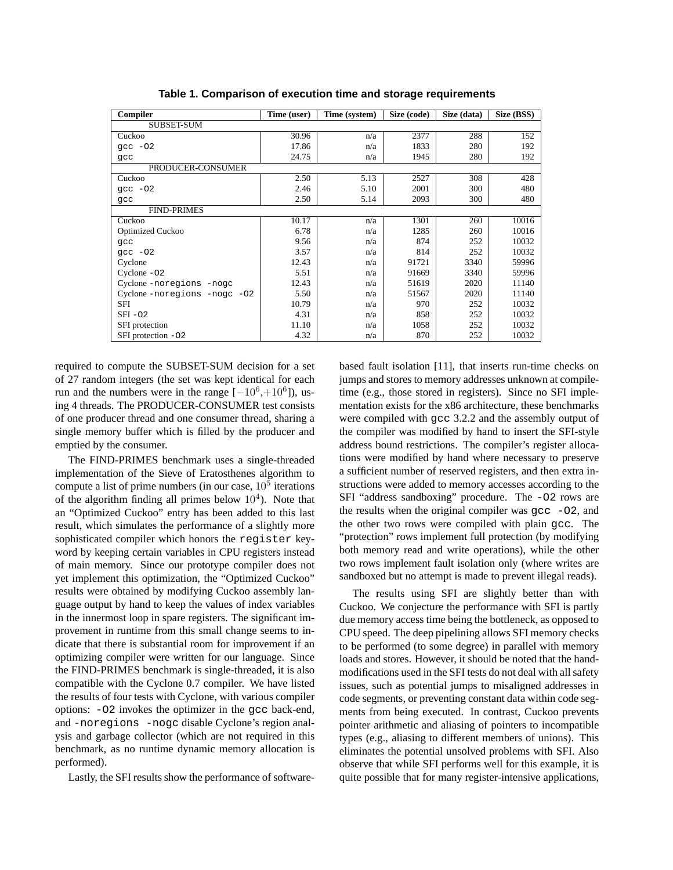| Compiler                    | Time (user) | Time (system) | Size (code) | Size (data) | Size (BSS) |  |  |
|-----------------------------|-------------|---------------|-------------|-------------|------------|--|--|
| <b>SUBSET-SUM</b>           |             |               |             |             |            |  |  |
| Cuckoo                      | 30.96       | n/a           | 2377        | 288         | 152        |  |  |
| $qcc -02$                   | 17.86       | n/a           | 1833        | 280         | 192        |  |  |
| qcc                         | 24.75       | n/a           | 1945        | 280         | 192        |  |  |
| PRODUCER-CONSUMER           |             |               |             |             |            |  |  |
| Cuckoo                      | 2.50        | 5.13          | 2527        | 308         | 428        |  |  |
| $qcc -02$                   | 2.46        | 5.10          | 2001        | 300         | 480        |  |  |
| qcc                         | 2.50        | 5.14          | 2093        | 300         | 480        |  |  |
| <b>FIND-PRIMES</b>          |             |               |             |             |            |  |  |
| Cuckoo                      | 10.17       | n/a           | 1301        | 260         | 10016      |  |  |
| Optimized Cuckoo            | 6.78        | n/a           | 1285        | 260         | 10016      |  |  |
| qcc                         | 9.56        | n/a           | 874         | 252         | 10032      |  |  |
| $qcc -02$                   | 3.57        | n/a           | 814         | 252         | 10032      |  |  |
| Cyclone                     | 12.43       | n/a           | 91721       | 3340        | 59996      |  |  |
| Cyclone $-02$               | 5.51        | n/a           | 91669       | 3340        | 59996      |  |  |
| Cyclone-noregions -nogc     | 12.43       | n/a           | 51619       | 2020        | 11140      |  |  |
| Cyclone-noregions -nogc -02 | 5.50        | n/a           | 51567       | 2020        | 11140      |  |  |
| SFI                         | 10.79       | n/a           | 970         | 252         | 10032      |  |  |
| $SFI - 02$                  | 4.31        | n/a           | 858         | 252         | 10032      |  |  |
| SFI protection              | 11.10       | n/a           | 1058        | 252         | 10032      |  |  |
| SFI protection -02          | 4.32        | n/a           | 870         | 252         | 10032      |  |  |

**Table 1. Comparison of execution time and storage requirements**

required to compute the SUBSET-SUM decision for a set of 27 random integers (the set was kept identical for each run and the numbers were in the range  $[-10^6,+10^6]$ ), using 4 threads. The PRODUCER-CONSUMER test consists of one producer thread and one consumer thread, sharing a single memory buffer which is filled by the producer and emptied by the consumer.

The FIND-PRIMES benchmark uses a single-threaded implementation of the Sieve of Eratosthenes algorithm to compute a list of prime numbers (in our case,  $10<sup>5</sup>$  iterations of the algorithm finding all primes below  $10<sup>4</sup>$ ). Note that an "Optimized Cuckoo" entry has been added to this last result, which simulates the performance of a slightly more sophisticated compiler which honors the register keyword by keeping certain variables in CPU registers instead of main memory. Since our prototype compiler does not yet implement this optimization, the "Optimized Cuckoo" results were obtained by modifying Cuckoo assembly language output by hand to keep the values of index variables in the innermost loop in spare registers. The significant improvement in runtime from this small change seems to indicate that there is substantial room for improvement if an optimizing compiler were written for our language. Since the FIND-PRIMES benchmark is single-threaded, it is also compatible with the Cyclone 0.7 compiler. We have listed the results of four tests with Cyclone, with various compiler options: -O2 invokes the optimizer in the gcc back-end, and -noregions -nogc disable Cyclone's region analysis and garbage collector (which are not required in this benchmark, as no runtime dynamic memory allocation is performed).

Lastly, the SFI results show the performance of software-

based fault isolation [11], that inserts run-time checks on jumps and stores to memory addresses unknown at compiletime (e.g., those stored in registers). Since no SFI implementation exists for the x86 architecture, these benchmarks were compiled with gcc 3.2.2 and the assembly output of the compiler was modified by hand to insert the SFI-style address bound restrictions. The compiler's register allocations were modified by hand where necessary to preserve a sufficient number of reserved registers, and then extra instructions were added to memory accesses according to the SFI "address sandboxing" procedure. The -O2 rows are the results when the original compiler was  $\frac{\pi}{6}$  -O2, and the other two rows were compiled with plain gcc. The "protection" rows implement full protection (by modifying both memory read and write operations), while the other two rows implement fault isolation only (where writes are sandboxed but no attempt is made to prevent illegal reads).

The results using SFI are slightly better than with Cuckoo. We conjecture the performance with SFI is partly due memory access time being the bottleneck, as opposed to CPU speed. The deep pipelining allows SFI memory checks to be performed (to some degree) in parallel with memory loads and stores. However, it should be noted that the handmodifications used in the SFI tests do not deal with all safety issues, such as potential jumps to misaligned addresses in code segments, or preventing constant data within code segments from being executed. In contrast, Cuckoo prevents pointer arithmetic and aliasing of pointers to incompatible types (e.g., aliasing to different members of unions). This eliminates the potential unsolved problems with SFI. Also observe that while SFI performs well for this example, it is quite possible that for many register-intensive applications,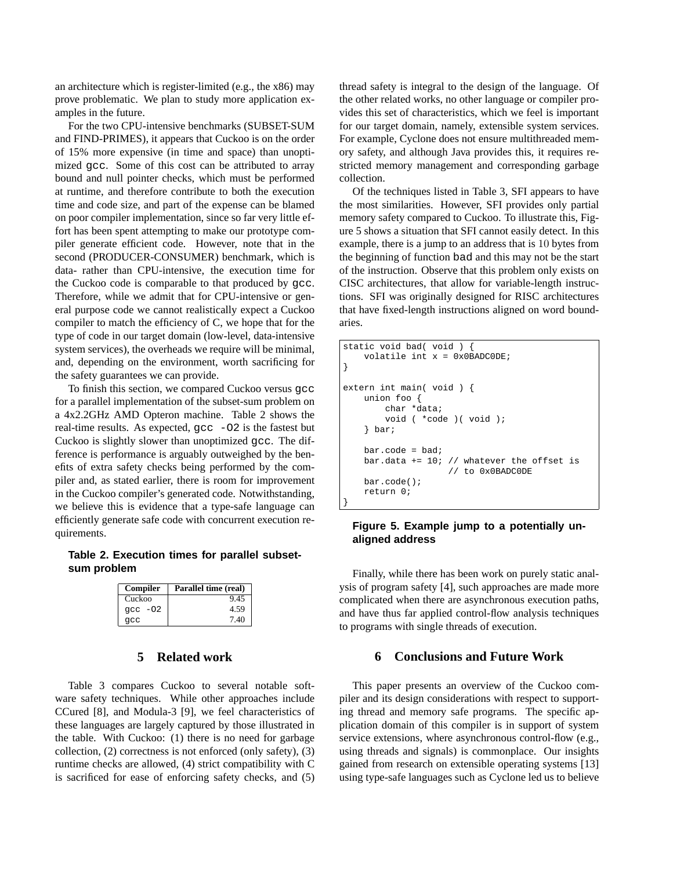an architecture which is register-limited (e.g., the x86) may prove problematic. We plan to study more application examples in the future.

For the two CPU-intensive benchmarks (SUBSET-SUM and FIND-PRIMES), it appears that Cuckoo is on the order of 15% more expensive (in time and space) than unoptimized gcc. Some of this cost can be attributed to array bound and null pointer checks, which must be performed at runtime, and therefore contribute to both the execution time and code size, and part of the expense can be blamed on poor compiler implementation, since so far very little effort has been spent attempting to make our prototype compiler generate efficient code. However, note that in the second (PRODUCER-CONSUMER) benchmark, which is data- rather than CPU-intensive, the execution time for the Cuckoo code is comparable to that produced by gcc. Therefore, while we admit that for CPU-intensive or general purpose code we cannot realistically expect a Cuckoo compiler to match the efficiency of C, we hope that for the type of code in our target domain (low-level, data-intensive system services), the overheads we require will be minimal, and, depending on the environment, worth sacrificing for the safety guarantees we can provide.

To finish this section, we compared Cuckoo versus gcc for a parallel implementation of the subset-sum problem on a 4x2.2GHz AMD Opteron machine. Table 2 shows the real-time results. As expected, gcc -O2 is the fastest but Cuckoo is slightly slower than unoptimized gcc. The difference is performance is arguably outweighed by the benefits of extra safety checks being performed by the compiler and, as stated earlier, there is room for improvement in the Cuckoo compiler's generated code. Notwithstanding, we believe this is evidence that a type-safe language can efficiently generate safe code with concurrent execution requirements.

# **Table 2. Execution times for parallel subsetsum problem**

| Compiler  | Parallel time (real) |  |  |
|-----------|----------------------|--|--|
| Cuckoo    | 9.45                 |  |  |
| $qcc -02$ | 4.59                 |  |  |
| acc       | 7.40                 |  |  |

### **5 Related work**

Table 3 compares Cuckoo to several notable software safety techniques. While other approaches include CCured [8], and Modula-3 [9], we feel characteristics of these languages are largely captured by those illustrated in the table. With Cuckoo: (1) there is no need for garbage collection, (2) correctness is not enforced (only safety), (3) runtime checks are allowed, (4) strict compatibility with C is sacrificed for ease of enforcing safety checks, and (5)

thread safety is integral to the design of the language. Of the other related works, no other language or compiler provides this set of characteristics, which we feel is important for our target domain, namely, extensible system services. For example, Cyclone does not ensure multithreaded memory safety, and although Java provides this, it requires restricted memory management and corresponding garbage collection.

Of the techniques listed in Table 3, SFI appears to have the most similarities. However, SFI provides only partial memory safety compared to Cuckoo. To illustrate this, Figure 5 shows a situation that SFI cannot easily detect. In this example, there is a jump to an address that is 10 bytes from the beginning of function bad and this may not be the start of the instruction. Observe that this problem only exists on CISC architectures, that allow for variable-length instructions. SFI was originally designed for RISC architectures that have fixed-length instructions aligned on word boundaries.

```
static void bad( void ) {
    volatile int x = 0x0BADC0DE;
}
extern int main( void ) {
   union foo {
        char *data;
        void ( *code )( void );
    } bar;
   bar.code = had;
   bar.data += 10; // whatever the offset is
                     // to 0x0BADC0DE
   bar.code();
   return 0;
}
```
## **Figure 5. Example jump to a potentially unaligned address**

Finally, while there has been work on purely static analysis of program safety [4], such approaches are made more complicated when there are asynchronous execution paths, and have thus far applied control-flow analysis techniques to programs with single threads of execution.

### **6 Conclusions and Future Work**

This paper presents an overview of the Cuckoo compiler and its design considerations with respect to supporting thread and memory safe programs. The specific application domain of this compiler is in support of system service extensions, where asynchronous control-flow (e.g., using threads and signals) is commonplace. Our insights gained from research on extensible operating systems [13] using type-safe languages such as Cyclone led us to believe